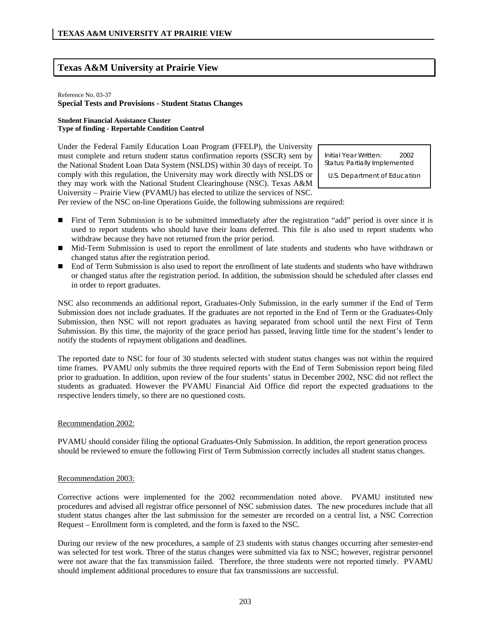# **Texas A&M University at Prairie View**

#### Reference No. 03-37

## **Special Tests and Provisions - Student Status Changes**

#### **Student Financial Assistance Cluster Type of finding - Reportable Condition Control**

Under the Federal Family Education Loan Program (FFELP), the University must complete and return student status confirmation reports (SSCR) sent by the National Student Loan Data System (NSLDS) within 30 days of receipt. To comply with this regulation, the University may work directly with NSLDS or they may work with the National Student Clearinghouse (NSC). Texas A&M University – Prairie View (PVAMU) has elected to utilize the services of NSC.

Initial Year Written: 2002 Status: Partially Implemented

U.S. Department of Education

Per review of the NSC on-line Operations Guide, the following submissions are required:

- First of Term Submission is to be submitted immediately after the registration "add" period is over since it is used to report students who should have their loans deferred. This file is also used to report students who withdraw because they have not returned from the prior period.
- Mid-Term Submission is used to report the enrollment of late students and students who have withdrawn or changed status after the registration period.
- End of Term Submission is also used to report the enrollment of late students and students who have withdrawn or changed status after the registration period. In addition, the submission should be scheduled after classes end in order to report graduates.

NSC also recommends an additional report, Graduates-Only Submission, in the early summer if the End of Term Submission does not include graduates. If the graduates are not reported in the End of Term or the Graduates-Only Submission, then NSC will not report graduates as having separated from school until the next First of Term Submission. By this time, the majority of the grace period has passed, leaving little time for the student's lender to notify the students of repayment obligations and deadlines.

The reported date to NSC for four of 30 students selected with student status changes was not within the required time frames. PVAMU only submits the three required reports with the End of Term Submission report being filed prior to graduation. In addition, upon review of the four students' status in December 2002, NSC did not reflect the students as graduated. However the PVAMU Financial Aid Office did report the expected graduations to the respective lenders timely, so there are no questioned costs.

### Recommendation 2002:

PVAMU should consider filing the optional Graduates-Only Submission. In addition, the report generation process should be reviewed to ensure the following First of Term Submission correctly includes all student status changes.

### Recommendation 2003:

Corrective actions were implemented for the 2002 recommendation noted above. PVAMU instituted new procedures and advised all registrar office personnel of NSC submission dates. The new procedures include that all student status changes after the last submission for the semester are recorded on a central list, a NSC Correction Request – Enrollment form is completed, and the form is faxed to the NSC.

During our review of the new procedures, a sample of 23 students with status changes occurring after semester-end was selected for test work. Three of the status changes were submitted via fax to NSC; however, registrar personnel were not aware that the fax transmission failed. Therefore, the three students were not reported timely. PVAMU should implement additional procedures to ensure that fax transmissions are successful.